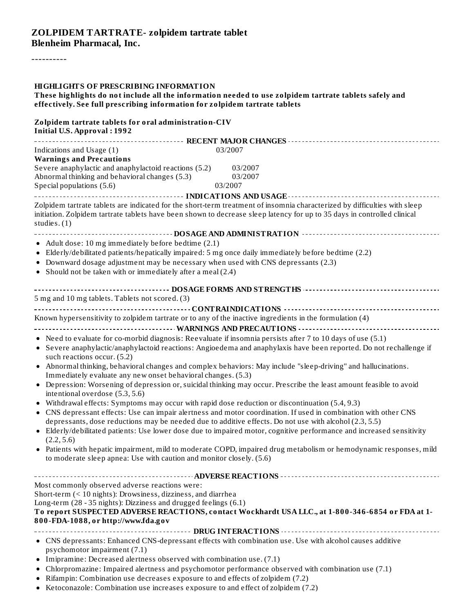#### **ZOLPIDEM TARTRATE- zolpidem tartrate tablet Blenheim Pharmacal, Inc.**

----------

| <b>HIGHLIGHTS OF PRESCRIBING INFORMATION</b><br>These highlights do not include all the information needed to use zolpidem tartrate tablets safely and<br>effectively. See full prescribing information for zolpidem tartrate tablets                                                                                                                                                                                                                                                                                                                                                                                                                                                                                                                                           |                                                                                                                                                                                                                                                                                                                                                                                                                                                                                                                                                                                                               |
|---------------------------------------------------------------------------------------------------------------------------------------------------------------------------------------------------------------------------------------------------------------------------------------------------------------------------------------------------------------------------------------------------------------------------------------------------------------------------------------------------------------------------------------------------------------------------------------------------------------------------------------------------------------------------------------------------------------------------------------------------------------------------------|---------------------------------------------------------------------------------------------------------------------------------------------------------------------------------------------------------------------------------------------------------------------------------------------------------------------------------------------------------------------------------------------------------------------------------------------------------------------------------------------------------------------------------------------------------------------------------------------------------------|
| Zolpidem tartrate tablets for oral administration-CIV<br><b>Initial U.S. Approval: 1992</b>                                                                                                                                                                                                                                                                                                                                                                                                                                                                                                                                                                                                                                                                                     |                                                                                                                                                                                                                                                                                                                                                                                                                                                                                                                                                                                                               |
| Indications and Usage (1)<br><b>Warnings and Precautions</b><br>Severe anaphylactic and anaphylactoid reactions (5.2)<br>Abnormal thinking and behavioral changes (5.3)<br>Special populations (5.6)                                                                                                                                                                                                                                                                                                                                                                                                                                                                                                                                                                            | 03/2007<br>03/2007<br>03/2007<br>03/2007                                                                                                                                                                                                                                                                                                                                                                                                                                                                                                                                                                      |
| initiation. Zolpidem tartrate tablets have been shown to decrease sleep latency for up to 35 days in controlled clinical<br>studies. $(1)$                                                                                                                                                                                                                                                                                                                                                                                                                                                                                                                                                                                                                                      | --------------------- INDICATIONS AND USAGE ------------------------------<br>Zolpidem tartrate tablets are indicated for the short-term treatment of insomnia characterized by difficulties with sleep                                                                                                                                                                                                                                                                                                                                                                                                       |
| • Adult dose: 10 mg immediately before bedtime (2.1)<br>• Elderly/debilitated patients/hepatically impaired: 5 mg once daily immediately before bedtime (2.2)<br>• Downward dosage adjustment may be necessary when used with CNS depressants (2.3)<br>• Should not be taken with or immediately after a meal (2.4)                                                                                                                                                                                                                                                                                                                                                                                                                                                             |                                                                                                                                                                                                                                                                                                                                                                                                                                                                                                                                                                                                               |
| 5 mg and 10 mg tablets. Tablets not scored. (3)                                                                                                                                                                                                                                                                                                                                                                                                                                                                                                                                                                                                                                                                                                                                 |                                                                                                                                                                                                                                                                                                                                                                                                                                                                                                                                                                                                               |
| Known hypersensitivity to zolpidem tartrate or to any of the inactive ingredients in the formulation (4)<br>• Need to evaluate for co-morbid diagnosis: Reevaluate if insomnia persists after 7 to 10 days of use (5.1)<br>such reactions occur. (5.2)<br>• Abnormal thinking, behavioral changes and complex behaviors: May include "sleep-driving" and hallucinations.<br>Immediately evaluate any new onset behavioral changes. (5.3)<br>intentional overdose (5.3, 5.6)<br>• Withdrawal effects: Symptoms may occur with rapid dose reduction or discontinuation (5.4, 9.3)<br>depressants, dose reductions may be needed due to additive effects. Do not use with alcohol (2.3, 5.5)<br>(2.2, 5.6)<br>to moderate sleep apnea: Use with caution and monitor closely. (5.6) | • Severe anaphylactic/anaphylactoid reactions: Angioedema and anaphylaxis have been reported. Do not rechallenge if<br>• Depression: Worsening of depression or, suicidal thinking may occur. Prescribe the least amount feasible to avoid<br>• CNS depressant effects: Use can impair alertness and motor coordination. If used in combination with other CNS<br>• Elderly/debilitated patients: Use lower dose due to impaired motor, cognitive performance and increased sensitivity<br>• Patients with hepatic impairment, mild to moderate COPD, impaired drug metabolism or hemodynamic responses, mild |
| Most commonly observed adverse reactions were:<br>Short-term (< 10 nights): Drowsiness, dizziness, and diarrhea<br>Long-term (28 - 35 nights): Dizziness and drugged feelings (6.1)<br>800-FDA-1088, or http://www.fda.gov                                                                                                                                                                                                                                                                                                                                                                                                                                                                                                                                                      | To report SUSPECTED ADVERSE REACTIONS, contact Wockhardt USA LLC., at 1-800-346-6854 or FDA at 1-                                                                                                                                                                                                                                                                                                                                                                                                                                                                                                             |
| • CNS depressants: Enhanced CNS-depressant effects with combination use. Use with alcohol causes additive<br>psychomotor impairment (7.1)<br>• Imipramine: Decreased alertness observed with combination use. (7.1)<br>• Chlorpromazine: Impaired alertness and psychomotor performance observed with combination use (7.1)<br>• Rifampin: Combination use decreases exposure to and effects of zolpidem (7.2)<br>• Ketoconazole: Combination use increases exposure to and effect of zolpidem $(7, 2)$                                                                                                                                                                                                                                                                         |                                                                                                                                                                                                                                                                                                                                                                                                                                                                                                                                                                                                               |

Ketoconazole: Combination use increases exposure to and effect of zolpidem (7.2)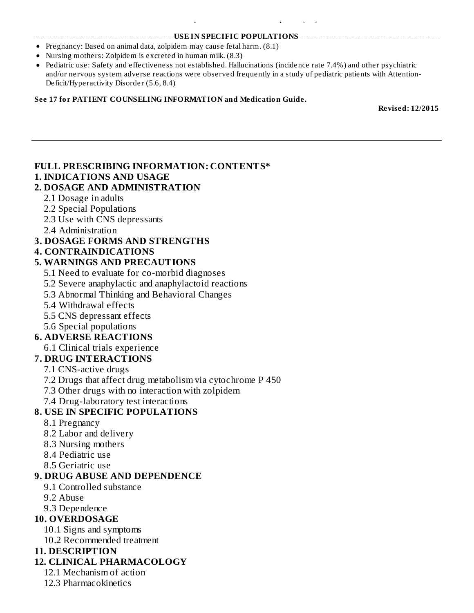#### **USE IN SPECIFIC POPULATIONS**

Pregnancy: Based on animal data, zolpidem may cause fetal harm. (8.1)

Ketoconazole: Combination use increases exposure to and effect of zolpidem (7.2)

- Nursing mothers: Zolpidem is excreted in human milk. (8.3)
- Pediatric use: Safety and effectiveness not established. Hallucinations (incidence rate 7.4%) and other psychiatric and/or nervous system adverse reactions were observed frequently in a study of pediatric patients with Attention-Deficit/Hyperactivity Disorder (5.6, 8.4)

#### **See 17 for PATIENT COUNSELING INFORMATION and Medication Guide.**

**Revised: 12/2015**

### **FULL PRESCRIBING INFORMATION: CONTENTS\***

#### **1. INDICATIONS AND USAGE**

#### **2. DOSAGE AND ADMINISTRATION**

- 2.1 Dosage in adults
- 2.2 Special Populations
- 2.3 Use with CNS depressants
- 2.4 Administration

#### **3. DOSAGE FORMS AND STRENGTHS**

#### **4. CONTRAINDICATIONS**

#### **5. WARNINGS AND PRECAUTIONS**

- 5.1 Need to evaluate for co-morbid diagnoses
- 5.2 Severe anaphylactic and anaphylactoid reactions
- 5.3 Abnormal Thinking and Behavioral Changes
- 5.4 Withdrawal effects
- 5.5 CNS depressant effects
- 5.6 Special populations

#### **6. ADVERSE REACTIONS**

6.1 Clinical trials experience

#### **7. DRUG INTERACTIONS**

- 7.1 CNS-active drugs
- 7.2 Drugs that affect drug metabolism via cytochrome P 450
- 7.3 Other drugs with no interaction with zolpidem
- 7.4 Drug-laboratory test interactions

#### **8. USE IN SPECIFIC POPULATIONS**

- 8.1 Pregnancy
- 8.2 Labor and delivery
- 8.3 Nursing mothers
- 8.4 Pediatric use
- 8.5 Geriatric use

#### **9. DRUG ABUSE AND DEPENDENCE**

- 9.1 Controlled substance
- 9.2 Abuse
- 9.3 Dependence

#### **10. OVERDOSAGE**

- 10.1 Signs and symptoms
- 10.2 Recommended treatment

#### **11. DESCRIPTION**

#### **12. CLINICAL PHARMACOLOGY**

- 12.1 Mechanism of action
- 12.3 Pharmacokinetics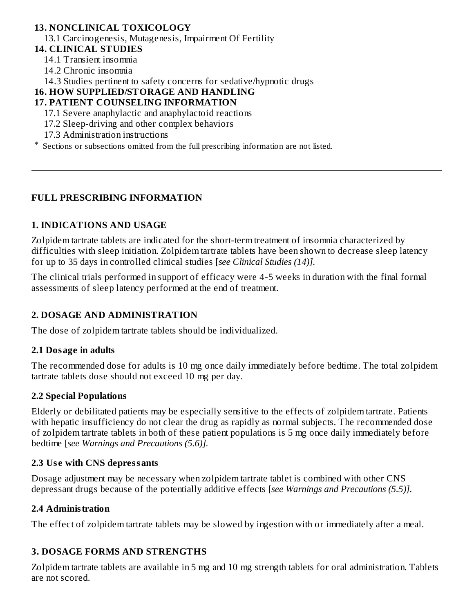### **13. NONCLINICAL TOXICOLOGY**

13.1 Carcinogenesis, Mutagenesis, Impairment Of Fertility

- **14. CLINICAL STUDIES**
	- 14.1 Transient insomnia
	- 14.2 Chronic insomnia

14.3 Studies pertinent to safety concerns for sedative/hypnotic drugs

#### **16. HOW SUPPLIED/STORAGE AND HANDLING**

#### **17. PATIENT COUNSELING INFORMATION**

- 17.1 Severe anaphylactic and anaphylactoid reactions
- 17.2 Sleep-driving and other complex behaviors
- 17.3 Administration instructions
- \* Sections or subsections omitted from the full prescribing information are not listed.

### **FULL PRESCRIBING INFORMATION**

#### **1. INDICATIONS AND USAGE**

Zolpidem tartrate tablets are indicated for the short-term treatment of insomnia characterized by difficulties with sleep initiation. Zolpidem tartrate tablets have been shown to decrease sleep latency for up to 35 days in controlled clinical studies [*see Clinical Studies (14)].*

The clinical trials performed in support of efficacy were 4-5 weeks in duration with the final formal assessments of sleep latency performed at the end of treatment.

### **2. DOSAGE AND ADMINISTRATION**

The dose of zolpidem tartrate tablets should be individualized.

#### **2.1 Dosage in adults**

The recommended dose for adults is 10 mg once daily immediately before bedtime. The total zolpidem tartrate tablets dose should not exceed 10 mg per day.

#### **2.2 Special Populations**

Elderly or debilitated patients may be especially sensitive to the effects of zolpidem tartrate. Patients with hepatic insufficiency do not clear the drug as rapidly as normal subjects. The recommended dose of zolpidem tartrate tablets in both of these patient populations is 5 mg once daily immediately before bedtime [*see Warnings and Precautions (5.6)].*

#### **2.3 Us e with CNS depressants**

Dosage adjustment may be necessary when zolpidem tartrate tablet is combined with other CNS depressant drugs because of the potentially additive effects [*see Warnings and Precautions (5.5)].*

#### **2.4 Administration**

The effect of zolpidem tartrate tablets may be slowed by ingestion with or immediately after a meal.

#### **3. DOSAGE FORMS AND STRENGTHS**

Zolpidem tartrate tablets are available in 5 mg and 10 mg strength tablets for oral administration. Tablets are not scored.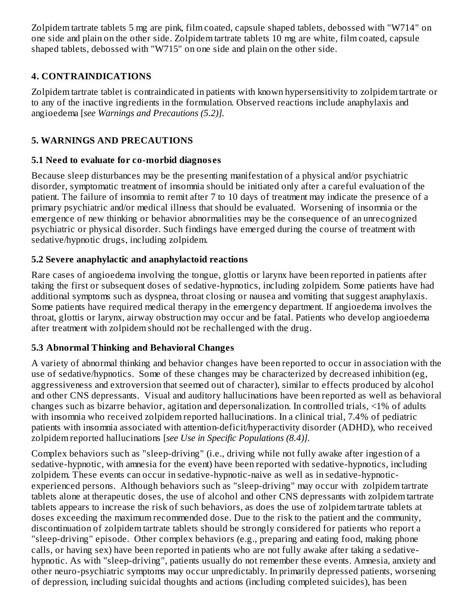Zolpidem tartrate tablets 5 mg are pink, film coated, capsule shaped tablets, debossed with "W714" on one side and plain on the other side. Zolpidem tartrate tablets 10 mg are white, film coated, capsule shaped tablets, debossed with "W715" on one side and plain on the other side.

## **4. CONTRAINDICATIONS**

Zolpidem tartrate tablet is contraindicated in patients with known hypersensitivity to zolpidem tartrate or to any of the inactive ingredients in the formulation. Observed reactions include anaphylaxis and angioedema [*see Warnings and Precautions (5.2)].*

## **5. WARNINGS AND PRECAUTIONS**

### **5.1 Need to evaluate for co-morbid diagnos es**

Because sleep disturbances may be the presenting manifestation of a physical and/or psychiatric disorder, symptomatic treatment of insomnia should be initiated only after a careful evaluation of the patient. The failure of insomnia to remit after 7 to 10 days of treatment may indicate the presence of a primary psychiatric and/or medical illness that should be evaluated. Worsening of insomnia or the emergence of new thinking or behavior abnormalities may be the consequence of an unrecognized psychiatric or physical disorder. Such findings have emerged during the course of treatment with sedative/hypnotic drugs, including zolpidem.

## **5.2 Severe anaphylactic and anaphylactoid reactions**

Rare cases of angioedema involving the tongue, glottis or larynx have been reported in patients after taking the first or subsequent doses of sedative-hypnotics, including zolpidem. Some patients have had additional symptoms such as dyspnea, throat closing or nausea and vomiting that suggest anaphylaxis. Some patients have required medical therapy in the emergency department. If angioedema involves the throat, glottis or larynx, airway obstruction may occur and be fatal. Patients who develop angioedema after treatment with zolpidem should not be rechallenged with the drug.

### **5.3 Abnormal Thinking and Behavioral Changes**

A variety of abnormal thinking and behavior changes have been reported to occur in association with the use of sedative/hypnotics. Some of these changes may be characterized by decreased inhibition (eg, aggressiveness and extroversion that seemed out of character), similar to effects produced by alcohol and other CNS depressants. Visual and auditory hallucinations have been reported as well as behavioral changes such as bizarre behavior, agitation and depersonalization. In controlled trials, <1% of adults with insomnia who received zolpidem reported hallucinations. In a clinical trial, 7.4% of pediatric patients with insomnia associated with attention-deficit/hyperactivity disorder (ADHD), who received zolpidem reported hallucinations [*see Use in Specific Populations (8.4)].*

Complex behaviors such as "sleep-driving" (i.e., driving while not fully awake after ingestion of a sedative-hypnotic, with amnesia for the event) have been reported with sedative-hypnotics, including zolpidem. These events can occur in sedative-hypnotic-naive as well as in sedative-hypnoticexperienced persons. Although behaviors such as "sleep-driving" may occur with zolpidem tartrate tablets alone at therapeutic doses, the use of alcohol and other CNS depressants with zolpidem tartrate tablets appears to increase the risk of such behaviors, as does the use of zolpidem tartrate tablets at doses exceeding the maximum recommended dose. Due to the risk to the patient and the community, discontinuation of zolpidem tartrate tablets should be strongly considered for patients who report a "sleep-driving" episode. Other complex behaviors (e.g., preparing and eating food, making phone calls, or having sex) have been reported in patients who are not fully awake after taking a sedativehypnotic. As with "sleep-driving", patients usually do not remember these events. Amnesia, anxiety and other neuro-psychiatric symptoms may occur unpredictably. In primarily depressed patients, worsening of depression, including suicidal thoughts and actions (including completed suicides), has been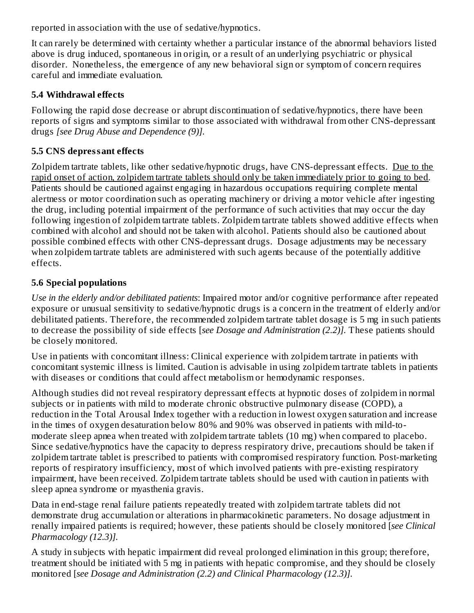reported in association with the use of sedative/hypnotics.

It can rarely be determined with certainty whether a particular instance of the abnormal behaviors listed above is drug induced, spontaneous in origin, or a result of an underlying psychiatric or physical disorder. Nonetheless, the emergence of any new behavioral sign or symptom of concern requires careful and immediate evaluation.

### **5.4 Withdrawal effects**

Following the rapid dose decrease or abrupt discontinuation of sedative/hypnotics, there have been reports of signs and symptoms similar to those associated with withdrawal from other CNS-depressant drugs *[see Drug Abuse and Dependence (9)].*

## **5.5 CNS depressant effects**

Zolpidem tartrate tablets, like other sedative/hypnotic drugs, have CNS-depressant effects. Due to the rapid onset of action, zolpidem tartrate tablets should only be taken immediately prior to going to bed. Patients should be cautioned against engaging in hazardous occupations requiring complete mental alertness or motor coordination such as operating machinery or driving a motor vehicle after ingesting the drug, including potential impairment of the performance of such activities that may occur the day following ingestion of zolpidem tartrate tablets. Zolpidem tartrate tablets showed additive effects when combined with alcohol and should not be taken with alcohol. Patients should also be cautioned about possible combined effects with other CNS-depressant drugs. Dosage adjustments may be necessary when zolpidem tartrate tablets are administered with such agents because of the potentially additive effects.

## **5.6 Special populations**

*Use in the elderly and/or debilitated patients*: Impaired motor and/or cognitive performance after repeated exposure or unusual sensitivity to sedative/hypnotic drugs is a concern in the treatment of elderly and/or debilitated patients. Therefore, the recommended zolpidem tartrate tablet dosage is 5 mg in such patients to decrease the possibility of side effects [*see Dosage and Administration (2.2)].* These patients should be closely monitored.

Use in patients with concomitant illness: Clinical experience with zolpidem tartrate in patients with concomitant systemic illness is limited. Caution is advisable in using zolpidem tartrate tablets in patients with diseases or conditions that could affect metabolism or hemodynamic responses.

Although studies did not reveal respiratory depressant effects at hypnotic doses of zolpidem in normal subjects or in patients with mild to moderate chronic obstructive pulmonary disease (COPD), a reduction in the Total Arousal Index together with a reduction in lowest oxygen saturation and increase in the times of oxygen desaturation below 80% and 90% was observed in patients with mild-tomoderate sleep apnea when treated with zolpidem tartrate tablets (10 mg) when compared to placebo. Since sedative/hypnotics have the capacity to depress respiratory drive, precautions should be taken if zolpidem tartrate tablet is prescribed to patients with compromised respiratory function. Post-marketing reports of respiratory insufficiency, most of which involved patients with pre-existing respiratory impairment, have been received. Zolpidem tartrate tablets should be used with caution in patients with sleep apnea syndrome or myasthenia gravis.

Data in end-stage renal failure patients repeatedly treated with zolpidem tartrate tablets did not demonstrate drug accumulation or alterations in pharmacokinetic parameters. No dosage adjustment in renally impaired patients is required; however, these patients should be closely monitored [*see Clinical Pharmacology (12.3)].*

A study in subjects with hepatic impairment did reveal prolonged elimination in this group; therefore, treatment should be initiated with 5 mg in patients with hepatic compromise, and they should be closely monitored [*see Dosage and Administration (2.2) and Clinical Pharmacology (12.3)].*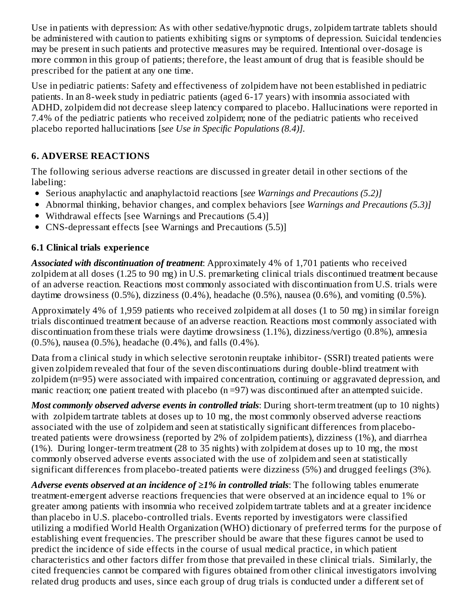Use in patients with depression: As with other sedative/hypnotic drugs, zolpidem tartrate tablets should be administered with caution to patients exhibiting signs or symptoms of depression. Suicidal tendencies may be present in such patients and protective measures may be required. Intentional over-dosage is more common in this group of patients; therefore, the least amount of drug that is feasible should be prescribed for the patient at any one time.

Use in pediatric patients: Safety and effectiveness of zolpidem have not been established in pediatric patients. In an 8-week study in pediatric patients (aged 6-17 years) with insomnia associated with ADHD, zolpidem did not decrease sleep latency compared to placebo. Hallucinations were reported in 7.4% of the pediatric patients who received zolpidem; none of the pediatric patients who received placebo reported hallucinations [*see Use in Specific Populations (8.4)].*

## **6. ADVERSE REACTIONS**

The following serious adverse reactions are discussed in greater detail in other sections of the labeling:

- Serious anaphylactic and anaphylactoid reactions [*see Warnings and Precautions (5.2)]*
- Abnormal thinking, behavior changes, and complex behaviors [*see Warnings and Precautions (5.3)]*
- Withdrawal effects [see Warnings and Precautions (5.4)]
- CNS-depressant effects [see Warnings and Precautions (5.5)]

## **6.1 Clinical trials experience**

*Associated with discontinuation of treatment*: Approximately 4% of 1,701 patients who received zolpidem at all doses (1.25 to 90 mg) in U.S. premarketing clinical trials discontinued treatment because of an adverse reaction. Reactions most commonly associated with discontinuation from U.S. trials were daytime drowsiness (0.5%), dizziness (0.4%), headache (0.5%), nausea (0.6%), and vomiting (0.5%).

Approximately 4% of 1,959 patients who received zolpidem at all doses (1 to 50 mg) in similar foreign trials discontinued treatment because of an adverse reaction. Reactions most commonly associated with discontinuation from these trials were daytime drowsiness (1.1%), dizziness/vertigo (0.8%), amnesia (0.5%), nausea (0.5%), headache (0.4%), and falls (0.4%).

Data from a clinical study in which selective serotonin reuptake inhibitor- (SSRI) treated patients were given zolpidem revealed that four of the seven discontinuations during double-blind treatment with zolpidem (n=95) were associated with impaired concentration, continuing or aggravated depression, and manic reaction; one patient treated with placebo (n =97) was discontinued after an attempted suicide.

*Most commonly observed adverse events in controlled trials*: During short-term treatment (up to 10 nights) with zolpidem tartrate tablets at doses up to 10 mg, the most commonly observed adverse reactions associated with the use of zolpidem and seen at statistically significant differences from placebotreated patients were drowsiness (reported by 2% of zolpidem patients), dizziness (1%), and diarrhea (1%). During longer-term treatment (28 to 35 nights) with zolpidem at doses up to 10 mg, the most commonly observed adverse events associated with the use of zolpidem and seen at statistically significant differences from placebo-treated patients were dizziness (5%) and drugged feelings (3%).

*Adverse events observed at an incidence of ≥1% in controlled trials*: The following tables enumerate treatment-emergent adverse reactions frequencies that were observed at an incidence equal to 1% or greater among patients with insomnia who received zolpidem tartrate tablets and at a greater incidence than placebo in U.S. placebo-controlled trials. Events reported by investigators were classified utilizing a modified World Health Organization (WHO) dictionary of preferred terms for the purpose of establishing event frequencies. The prescriber should be aware that these figures cannot be used to predict the incidence of side effects in the course of usual medical practice, in which patient characteristics and other factors differ from those that prevailed in these clinical trials. Similarly, the cited frequencies cannot be compared with figures obtained from other clinical investigators involving related drug products and uses, since each group of drug trials is conducted under a different set of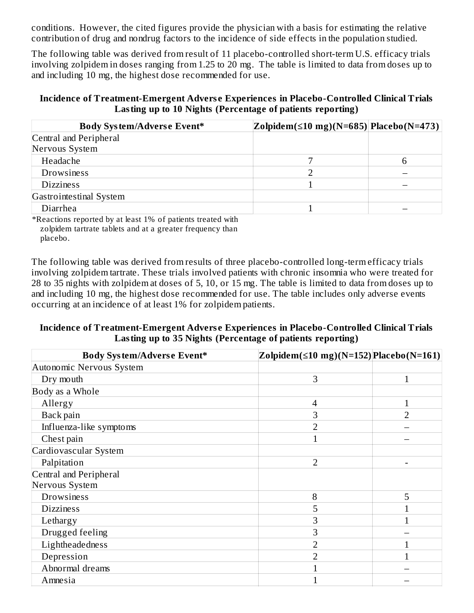conditions. However, the cited figures provide the physician with a basis for estimating the relative contribution of drug and nondrug factors to the incidence of side effects in the population studied.

The following table was derived from result of 11 placebo-controlled short-term U.S. efficacy trials involving zolpidem in doses ranging from 1.25 to 20 mg. The table is limited to data from doses up to and including 10 mg, the highest dose recommended for use.

#### **Incidence of Treatment-Emergent Advers e Experiences in Placebo-Controlled Clinical Trials Lasting up to 10 Nights (Percentage of patients reporting)**

| <b>Body System/Adverse Event*</b> | Zolpidem(≤10 mg)(N=685)  Placebo(N=473) |  |
|-----------------------------------|-----------------------------------------|--|
| Central and Peripheral            |                                         |  |
| Nervous System                    |                                         |  |
| Headache                          |                                         |  |
| Drowsiness                        |                                         |  |
| <b>Dizziness</b>                  |                                         |  |
| Gastrointestinal System           |                                         |  |
| Diarrhea                          |                                         |  |

\*Reactions reported by at least 1% of patients treated with zolpidem tartrate tablets and at a greater frequency than placebo.

The following table was derived from results of three placebo-controlled long-term efficacy trials involving zolpidem tartrate. These trials involved patients with chronic insomnia who were treated for 28 to 35 nights with zolpidem at doses of 5, 10, or 15 mg. The table is limited to data from doses up to and including 10 mg, the highest dose recommended for use. The table includes only adverse events occurring at an incidence of at least 1% for zolpidem patients.

#### **Incidence of Treatment-Emergent Advers e Experiences in Placebo-Controlled Clinical Trials Lasting up to 35 Nights (Percentage of patients reporting)**

| Body System/Adverse Event* | Zolpidem( $\leq$ 10 mg)(N=152) Placebo(N=161) |                |
|----------------------------|-----------------------------------------------|----------------|
| Autonomic Nervous System   |                                               |                |
| Dry mouth                  | 3                                             | 1              |
| Body as a Whole            |                                               |                |
| Allergy                    | 4                                             | 1              |
| Back pain                  | 3                                             | $\overline{2}$ |
| Influenza-like symptoms    | 2                                             |                |
| Chest pain                 |                                               |                |
| Cardiovascular System      |                                               |                |
| Palpitation                | $\overline{2}$                                |                |
| Central and Peripheral     |                                               |                |
| Nervous System             |                                               |                |
| Drowsiness                 | 8                                             | 5              |
| <b>Dizziness</b>           | 5                                             |                |
| Lethargy                   | 3                                             |                |
| Drugged feeling            | 3                                             |                |
| Lightheadedness            | 2                                             |                |
| Depression                 | $\overline{2}$                                |                |
| Abnormal dreams            |                                               |                |
| Amnesia                    |                                               |                |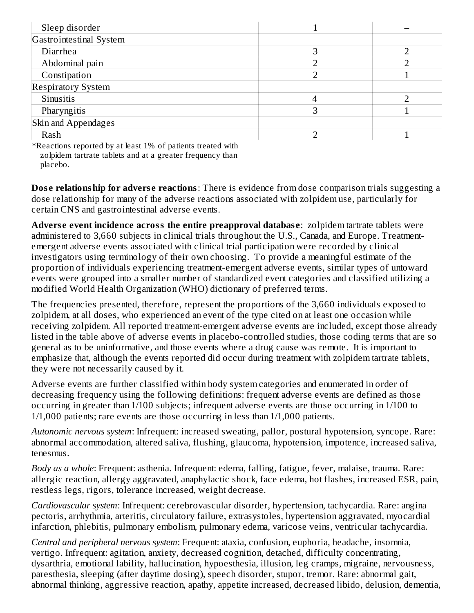| Sleep disorder            |  |
|---------------------------|--|
| Gastrointestinal System   |  |
| Diarrhea                  |  |
| Abdominal pain            |  |
| Constipation              |  |
| <b>Respiratory System</b> |  |
| Sinusitis                 |  |
| Pharyngitis               |  |
| Skin and Appendages       |  |
| Rash                      |  |

\*Reactions reported by at least 1% of patients treated with zolpidem tartrate tablets and at a greater frequency than placebo.

**Dos e relationship for advers e reactions**: There is evidence from dose comparison trials suggesting a dose relationship for many of the adverse reactions associated with zolpidem use, particularly for certain CNS and gastrointestinal adverse events.

**Advers e event incidence across the entire preapproval databas e**: zolpidem tartrate tablets were administered to 3,660 subjects in clinical trials throughout the U.S., Canada, and Europe. Treatmentemergent adverse events associated with clinical trial participation were recorded by clinical investigators using terminology of their own choosing. To provide a meaningful estimate of the proportion of individuals experiencing treatment-emergent adverse events, similar types of untoward events were grouped into a smaller number of standardized event categories and classified utilizing a modified World Health Organization (WHO) dictionary of preferred terms.

The frequencies presented, therefore, represent the proportions of the 3,660 individuals exposed to zolpidem, at all doses, who experienced an event of the type cited on at least one occasion while receiving zolpidem. All reported treatment-emergent adverse events are included, except those already listed in the table above of adverse events in placebo-controlled studies, those coding terms that are so general as to be uninformative, and those events where a drug cause was remote. It is important to emphasize that, although the events reported did occur during treatment with zolpidem tartrate tablets, they were not necessarily caused by it.

Adverse events are further classified within body system categories and enumerated in order of decreasing frequency using the following definitions: frequent adverse events are defined as those occurring in greater than 1/100 subjects; infrequent adverse events are those occurring in 1/100 to 1/1,000 patients; rare events are those occurring in less than 1/1,000 patients.

*Autonomic nervous system*: Infrequent: increased sweating, pallor, postural hypotension, syncope. Rare: abnormal accommodation, altered saliva, flushing, glaucoma, hypotension, impotence, increased saliva, tenesmus.

*Body as a whole*: Frequent: asthenia. Infrequent: edema, falling, fatigue, fever, malaise, trauma. Rare: allergic reaction, allergy aggravated, anaphylactic shock, face edema, hot flashes, increased ESR, pain, restless legs, rigors, tolerance increased, weight decrease.

*Cardiovascular system*: Infrequent: cerebrovascular disorder, hypertension, tachycardia. Rare: angina pectoris, arrhythmia, arteritis, circulatory failure, extrasystoles, hypertension aggravated, myocardial infarction, phlebitis, pulmonary embolism, pulmonary edema, varicose veins, ventricular tachycardia.

*Central and peripheral nervous system*: Frequent: ataxia, confusion, euphoria, headache, insomnia, vertigo. Infrequent: agitation, anxiety, decreased cognition, detached, difficulty concentrating, dysarthria, emotional lability, hallucination, hypoesthesia, illusion, leg cramps, migraine, nervousness, paresthesia, sleeping (after daytime dosing), speech disorder, stupor, tremor. Rare: abnormal gait, abnormal thinking, aggressive reaction, apathy, appetite increased, decreased libido, delusion, dementia,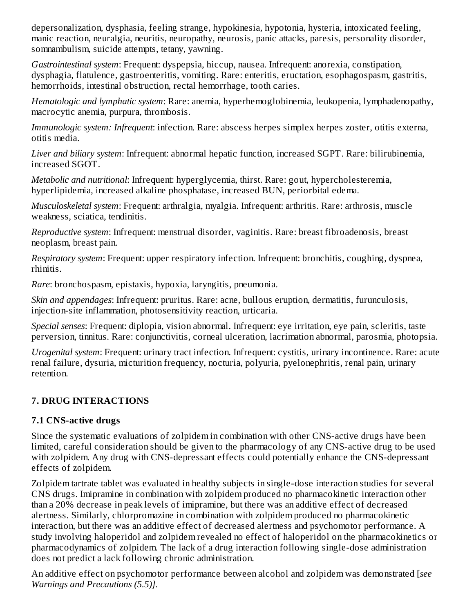depersonalization, dysphasia, feeling strange, hypokinesia, hypotonia, hysteria, intoxicated feeling, manic reaction, neuralgia, neuritis, neuropathy, neurosis, panic attacks, paresis, personality disorder, somnambulism, suicide attempts, tetany, yawning.

*Gastrointestinal system*: Frequent: dyspepsia, hiccup, nausea. Infrequent: anorexia, constipation, dysphagia, flatulence, gastroenteritis, vomiting. Rare: enteritis, eructation, esophagospasm, gastritis, hemorrhoids, intestinal obstruction, rectal hemorrhage, tooth caries.

*Hematologic and lymphatic system*: Rare: anemia, hyperhemoglobinemia, leukopenia, lymphadenopathy, macrocytic anemia, purpura, thrombosis.

*Immunologic system: Infrequent*: infection. Rare: abscess herpes simplex herpes zoster, otitis externa, otitis media.

*Liver and biliary system*: Infrequent: abnormal hepatic function, increased SGPT. Rare: bilirubinemia, increased SGOT.

*Metabolic and nutritional*: Infrequent: hyperglycemia, thirst. Rare: gout, hypercholesteremia, hyperlipidemia, increased alkaline phosphatase, increased BUN, periorbital edema.

*Musculoskeletal system*: Frequent: arthralgia, myalgia. Infrequent: arthritis. Rare: arthrosis, muscle weakness, sciatica, tendinitis.

*Reproductive system*: Infrequent: menstrual disorder, vaginitis. Rare: breast fibroadenosis, breast neoplasm, breast pain.

*Respiratory system*: Frequent: upper respiratory infection. Infrequent: bronchitis, coughing, dyspnea, rhinitis.

*Rare*: bronchospasm, epistaxis, hypoxia, laryngitis, pneumonia.

*Skin and appendages*: Infrequent: pruritus. Rare: acne, bullous eruption, dermatitis, furunculosis, injection-site inflammation, photosensitivity reaction, urticaria.

*Special senses*: Frequent: diplopia, vision abnormal. Infrequent: eye irritation, eye pain, scleritis, taste perversion, tinnitus. Rare: conjunctivitis, corneal ulceration, lacrimation abnormal, parosmia, photopsia.

*Urogenital system*: Frequent: urinary tract infection. Infrequent: cystitis, urinary incontinence. Rare: acute renal failure, dysuria, micturition frequency, nocturia, polyuria, pyelonephritis, renal pain, urinary retention.

### **7. DRUG INTERACTIONS**

### **7.1 CNS-active drugs**

Since the systematic evaluations of zolpidem in combination with other CNS-active drugs have been limited, careful consideration should be given to the pharmacology of any CNS-active drug to be used with zolpidem. Any drug with CNS-depressant effects could potentially enhance the CNS-depressant effects of zolpidem.

Zolpidem tartrate tablet was evaluated in healthy subjects in single-dose interaction studies for several CNS drugs. Imipramine in combination with zolpidem produced no pharmacokinetic interaction other than a 20% decrease in peak levels of imipramine, but there was an additive effect of decreased alertness. Similarly, chlorpromazine in combination with zolpidem produced no pharmacokinetic interaction, but there was an additive effect of decreased alertness and psychomotor performance. A study involving haloperidol and zolpidem revealed no effect of haloperidol on the pharmacokinetics or pharmacodynamics of zolpidem. The lack of a drug interaction following single-dose administration does not predict a lack following chronic administration.

An additive effect on psychomotor performance between alcohol and zolpidem was demonstrated [*see Warnings and Precautions (5.5)].*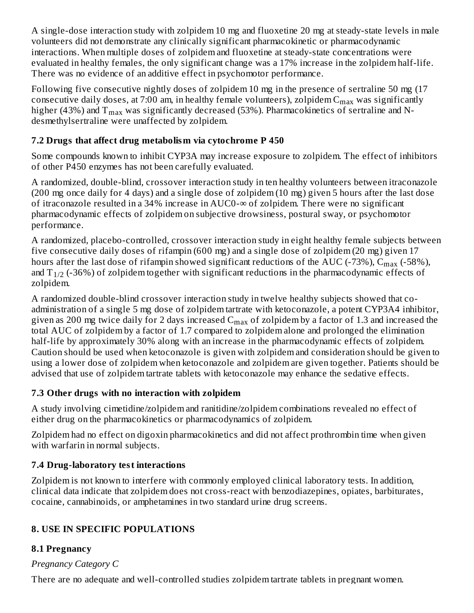A single-dose interaction study with zolpidem 10 mg and fluoxetine 20 mg at steady-state levels in male volunteers did not demonstrate any clinically significant pharmacokinetic or pharmacodynamic interactions. When multiple doses of zolpidem and fluoxetine at steady-state concentrations were evaluated in healthy females, the only significant change was a 17% increase in the zolpidem half-life. There was no evidence of an additive effect in psychomotor performance.

Following five consecutive nightly doses of zolpidem 10 mg in the presence of sertraline 50 mg (17 consecutive daily doses, at 7:00 am, in healthy female volunteers), zolpidem  $\rm C_{max}$  was significantly higher (43%) and  $\rm T_{max}$  was significantly decreased (53%). Pharmacokinetics of sertraline and Ndesmethylsertraline were unaffected by zolpidem.

### **7.2 Drugs that affect drug metabolism via cytochrome P 450**

Some compounds known to inhibit CYP3A may increase exposure to zolpidem. The effect of inhibitors of other P450 enzymes has not been carefully evaluated.

A randomized, double-blind, crossover interaction study in ten healthy volunteers between itraconazole (200 mg once daily for 4 days) and a single dose of zolpidem (10 mg) given 5 hours after the last dose of itraconazole resulted in a 34% increase in AUC0-∞ of zolpidem. There were no significant pharmacodynamic effects of zolpidem on subjective drowsiness, postural sway, or psychomotor performance.

A randomized, placebo-controlled, crossover interaction study in eight healthy female subjects between five consecutive daily doses of rifampin (600 mg) and a single dose of zolpidem (20 mg) given 17 hours after the last dose of rifampin showed significant reductions of the AUC (-73%),  $\rm{C_{max}}$  (-58%), and T $_{1/2}$  (-36%) of zolpidem together with significant reductions in the pharmacodynamic effects of zolpidem.

A randomized double-blind crossover interaction study in twelve healthy subjects showed that coadministration of a single 5 mg dose of zolpidem tartrate with ketoconazole, a potent CYP3A4 inhibitor, given as 200 mg twice daily for 2 days increased  $\rm{C_{max}}$  of zolpidem by a factor of 1.3 and increased the total AUC of zolpidem by a factor of 1.7 compared to zolpidem alone and prolonged the elimination half-life by approximately 30% along with an increase in the pharmacodynamic effects of zolpidem. Caution should be used when ketoconazole is given with zolpidem and consideration should be given to using a lower dose of zolpidem when ketoconazole and zolpidem are given together. Patients should be advised that use of zolpidem tartrate tablets with ketoconazole may enhance the sedative effects.

## **7.3 Other drugs with no interaction with zolpidem**

A study involving cimetidine/zolpidem and ranitidine/zolpidem combinations revealed no effect of either drug on the pharmacokinetics or pharmacodynamics of zolpidem.

Zolpidem had no effect on digoxin pharmacokinetics and did not affect prothrombin time when given with warfarin in normal subjects.

# **7.4 Drug-laboratory test interactions**

Zolpidem is not known to interfere with commonly employed clinical laboratory tests. In addition, clinical data indicate that zolpidem does not cross-react with benzodiazepines, opiates, barbiturates, cocaine, cannabinoids, or amphetamines in two standard urine drug screens.

# **8. USE IN SPECIFIC POPULATIONS**

# **8.1 Pregnancy**

# *Pregnancy Category C*

There are no adequate and well-controlled studies zolpidem tartrate tablets in pregnant women.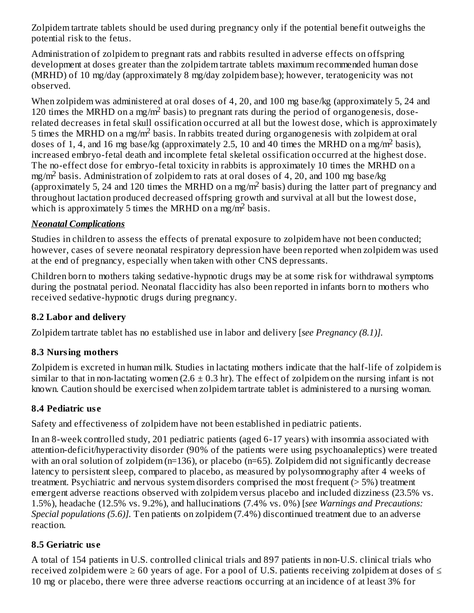Zolpidem tartrate tablets should be used during pregnancy only if the potential benefit outweighs the potential risk to the fetus.

Administration of zolpidem to pregnant rats and rabbits resulted in adverse effects on offspring development at doses greater than the zolpidem tartrate tablets maximum recommended human dose (MRHD) of 10 mg/day (approximately 8 mg/day zolpidem base); however, teratogenicity was not observed.

When zolpidem was administered at oral doses of 4, 20, and 100 mg base/kg (approximately 5, 24 and 120 times the MRHD on a mg/m<sup>2</sup> basis) to pregnant rats during the period of organogenesis, doserelated decreases in fetal skull ossification occurred at all but the lowest dose, which is approximately 5 times the MRHD on a mg/m<sup>2</sup> basis. In rabbits treated during organogenesis with zolpidem at oral doses of 1, 4, and 16 mg base/kg (approximately 2.5, 10 and 40 times the MRHD on a mg/m<sup>2</sup> basis), increased embryo-fetal death and incomplete fetal skeletal ossification occurred at the highest dose. The no-effect dose for embryo-fetal toxicity in rabbits is approximately 10 times the MRHD on a  $mg/m<sup>2</sup>$  basis. Administration of zolpidem to rats at oral doses of 4, 20, and 100 mg base/kg (approximately 5, 24 and 120 times the MRHD on a mg/m<sup>2</sup> basis) during the latter part of pregnancy and throughout lactation produced decreased offspring growth and survival at all but the lowest dose, which is approximately 5 times the MRHD on a mg/m<sup>2</sup> basis.

### *Neonatal Complications*

Studies in children to assess the effects of prenatal exposure to zolpidem have not been conducted; however, cases of severe neonatal respiratory depression have been reported when zolpidem was used at the end of pregnancy, especially when taken with other CNS depressants.

Children born to mothers taking sedative-hypnotic drugs may be at some risk for withdrawal symptoms during the postnatal period. Neonatal flaccidity has also been reported in infants born to mothers who received sedative-hypnotic drugs during pregnancy.

## **8.2 Labor and delivery**

Zolpidem tartrate tablet has no established use in labor and delivery [*see Pregnancy (8.1)].*

## **8.3 Nursing mothers**

Zolpidem is excreted in human milk. Studies in lactating mothers indicate that the half-life of zolpidem is similar to that in non-lactating women  $(2.6 \pm 0.3 \text{ hr})$ . The effect of zolpidem on the nursing infant is not known. Caution should be exercised when zolpidem tartrate tablet is administered to a nursing woman.

### **8.4 Pediatric us e**

Safety and effectiveness of zolpidem have not been established in pediatric patients.

In an 8-week controlled study, 201 pediatric patients (aged 6-17 years) with insomnia associated with attention-deficit/hyperactivity disorder (90% of the patients were using psychoanaleptics) were treated with an oral solution of zolpidem (n=136), or placebo (n=65). Zolpidem did not significantly decrease latency to persistent sleep, compared to placebo, as measured by polysomnography after 4 weeks of treatment. Psychiatric and nervous system disorders comprised the most frequent (> 5%) treatment emergent adverse reactions observed with zolpidem versus placebo and included dizziness (23.5% vs. 1.5%), headache (12.5% vs. 9.2%), and hallucinations (7.4% vs. 0%) [*see Warnings and Precautions: Special populations (5.6)].* Ten patients on zolpidem (7.4%) discontinued treatment due to an adverse reaction.

## **8.5 Geriatric us e**

A total of 154 patients in U.S. controlled clinical trials and 897 patients in non-U.S. clinical trials who received zolpidem were  $\geq 60$  years of age. For a pool of U.S. patients receiving zolpidem at doses of  $\leq$ 10 mg or placebo, there were three adverse reactions occurring at an incidence of at least 3% for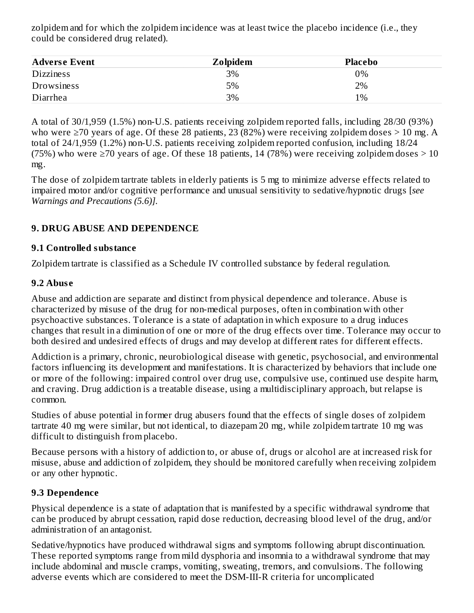zolpidem and for which the zolpidem incidence was at least twice the placebo incidence (i.e., they could be considered drug related).

| <b>Adverse Event</b> | <b>Zolpidem</b> | <b>Placebo</b> |  |
|----------------------|-----------------|----------------|--|
| <b>Dizziness</b>     | 3%              | 0%             |  |
| Drowsiness           | 5%              | 2%             |  |
| Diarrhea             | 3%              | 1%             |  |

A total of 30/1,959 (1.5%) non-U.S. patients receiving zolpidem reported falls, including 28/30 (93%) who were  $\geq$ 70 years of age. Of these 28 patients, 23 (82%) were receiving zolpidem doses  $>$  10 mg. A total of 24/1,959 (1.2%) non-U.S. patients receiving zolpidem reported confusion, including 18/24 (75%) who were  $\geq$  70 years of age. Of these 18 patients, 14 (78%) were receiving zolpidem doses  $>$  10 mg.

The dose of zolpidem tartrate tablets in elderly patients is 5 mg to minimize adverse effects related to impaired motor and/or cognitive performance and unusual sensitivity to sedative/hypnotic drugs [*see Warnings and Precautions (5.6)].*

### **9. DRUG ABUSE AND DEPENDENCE**

#### **9.1 Controlled substance**

Zolpidem tartrate is classified as a Schedule IV controlled substance by federal regulation.

#### **9.2 Abus e**

Abuse and addiction are separate and distinct from physical dependence and tolerance. Abuse is characterized by misuse of the drug for non-medical purposes, often in combination with other psychoactive substances. Tolerance is a state of adaptation in which exposure to a drug induces changes that result in a diminution of one or more of the drug effects over time. Tolerance may occur to both desired and undesired effects of drugs and may develop at different rates for different effects.

Addiction is a primary, chronic, neurobiological disease with genetic, psychosocial, and environmental factors influencing its development and manifestations. It is characterized by behaviors that include one or more of the following: impaired control over drug use, compulsive use, continued use despite harm, and craving. Drug addiction is a treatable disease, using a multidisciplinary approach, but relapse is common.

Studies of abuse potential in former drug abusers found that the effects of single doses of zolpidem tartrate 40 mg were similar, but not identical, to diazepam 20 mg, while zolpidem tartrate 10 mg was difficult to distinguish from placebo.

Because persons with a history of addiction to, or abuse of, drugs or alcohol are at increased risk for misuse, abuse and addiction of zolpidem, they should be monitored carefully when receiving zolpidem or any other hypnotic.

#### **9.3 Dependence**

Physical dependence is a state of adaptation that is manifested by a specific withdrawal syndrome that can be produced by abrupt cessation, rapid dose reduction, decreasing blood level of the drug, and/or administration of an antagonist.

Sedative/hypnotics have produced withdrawal signs and symptoms following abrupt discontinuation. These reported symptoms range from mild dysphoria and insomnia to a withdrawal syndrome that may include abdominal and muscle cramps, vomiting, sweating, tremors, and convulsions. The following adverse events which are considered to meet the DSM-III-R criteria for uncomplicated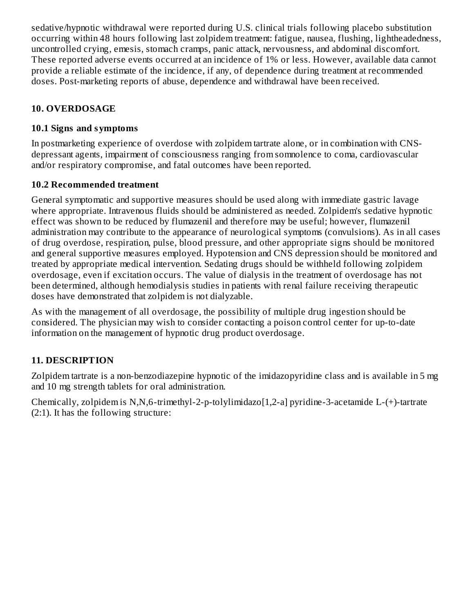sedative/hypnotic withdrawal were reported during U.S. clinical trials following placebo substitution occurring within 48 hours following last zolpidem treatment: fatigue, nausea, flushing, lightheadedness, uncontrolled crying, emesis, stomach cramps, panic attack, nervousness, and abdominal discomfort. These reported adverse events occurred at an incidence of 1% or less. However, available data cannot provide a reliable estimate of the incidence, if any, of dependence during treatment at recommended doses. Post-marketing reports of abuse, dependence and withdrawal have been received.

### **10. OVERDOSAGE**

### **10.1 Signs and symptoms**

In postmarketing experience of overdose with zolpidem tartrate alone, or in combination with CNSdepressant agents, impairment of consciousness ranging from somnolence to coma, cardiovascular and/or respiratory compromise, and fatal outcomes have been reported.

### **10.2 Recommended treatment**

General symptomatic and supportive measures should be used along with immediate gastric lavage where appropriate. Intravenous fluids should be administered as needed. Zolpidem's sedative hypnotic effect was shown to be reduced by flumazenil and therefore may be useful; however, flumazenil administration may contribute to the appearance of neurological symptoms (convulsions). As in all cases of drug overdose, respiration, pulse, blood pressure, and other appropriate signs should be monitored and general supportive measures employed. Hypotension and CNS depression should be monitored and treated by appropriate medical intervention. Sedating drugs should be withheld following zolpidem overdosage, even if excitation occurs. The value of dialysis in the treatment of overdosage has not been determined, although hemodialysis studies in patients with renal failure receiving therapeutic doses have demonstrated that zolpidem is not dialyzable.

As with the management of all overdosage, the possibility of multiple drug ingestion should be considered. The physician may wish to consider contacting a poison control center for up-to-date information on the management of hypnotic drug product overdosage.

## **11. DESCRIPTION**

Zolpidem tartrate is a non-benzodiazepine hypnotic of the imidazopyridine class and is available in 5 mg and 10 mg strength tablets for oral administration.

Chemically, zolpidem is N,N,6-trimethyl-2-p-tolylimidazo[1,2-a] pyridine-3-acetamide L-(+)-tartrate (2:1). It has the following structure: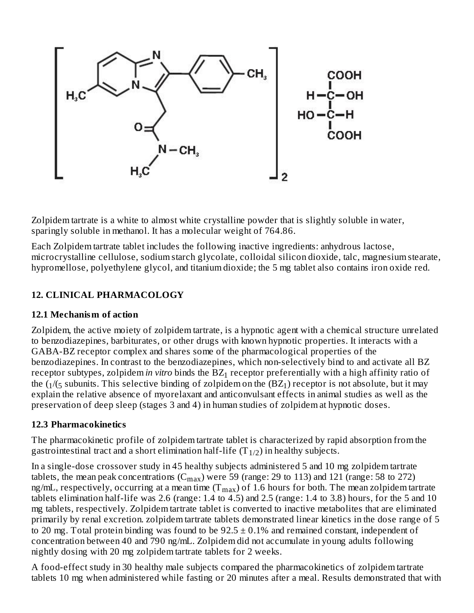

Zolpidem tartrate is a white to almost white crystalline powder that is slightly soluble in water, sparingly soluble in methanol. It has a molecular weight of 764.86.

Each Zolpidem tartrate tablet includes the following inactive ingredients: anhydrous lactose, microcrystalline cellulose, sodium starch glycolate, colloidal silicon dioxide, talc, magnesium stearate, hypromellose, polyethylene glycol, and titanium dioxide; the 5 mg tablet also contains iron oxide red.

## **12. CLINICAL PHARMACOLOGY**

#### **12.1 Mechanism of action**

Zolpidem, the active moiety of zolpidem tartrate, is a hypnotic agent with a chemical structure unrelated to benzodiazepines, barbiturates, or other drugs with known hypnotic properties. It interacts with a GABA-BZ receptor complex and shares some of the pharmacological properties of the benzodiazepines. In contrast to the benzodiazepines, which non-selectively bind to and activate all BZ receptor subtypes, zolpidem*in vitro* binds the BZ<sub>1</sub> receptor preferentially with a high affinity ratio of the ( $_1$ /( $_5$  subunits. This selective binding of zolpidem on the (BZ $_1$ ) receptor is not absolute, but it may explain the relative absence of myorelaxant and anticonvulsant effects in animal studies as well as the preservation of deep sleep (stages 3 and 4) in human studies of zolpidem at hypnotic doses.

### **12.3 Pharmacokinetics**

The pharmacokinetic profile of zolpidem tartrate tablet is characterized by rapid absorption from the gastrointestinal tract and a short elimination half-life (T $_{1/2}$ ) in healthy subjects.

In a single-dose crossover study in 45 healthy subjects administered 5 and 10 mg zolpidem tartrate tablets, the mean peak concentrations ( $\rm C_{max}$ ) were 59 (range: 29 to 113) and 121 (range: 58 to 272) ng/mL, respectively, occurring at a mean time (T $_{\rm max}$ ) of 1.6 hours for both. The mean zolpidem tartrate tablets elimination half-life was 2.6 (range: 1.4 to 4.5) and 2.5 (range: 1.4 to 3.8) hours, for the 5 and 10 mg tablets, respectively. Zolpidem tartrate tablet is converted to inactive metabolites that are eliminated primarily by renal excretion. zolpidem tartrate tablets demonstrated linear kinetics in the dose range of 5 to 20 mg. Total protein binding was found to be  $92.5 \pm 0.1\%$  and remained constant, independent of concentration between 40 and 790 ng/mL. Zolpidem did not accumulate in young adults following nightly dosing with 20 mg zolpidem tartrate tablets for 2 weeks.

A food-effect study in 30 healthy male subjects compared the pharmacokinetics of zolpidem tartrate tablets 10 mg when administered while fasting or 20 minutes after a meal. Results demonstrated that with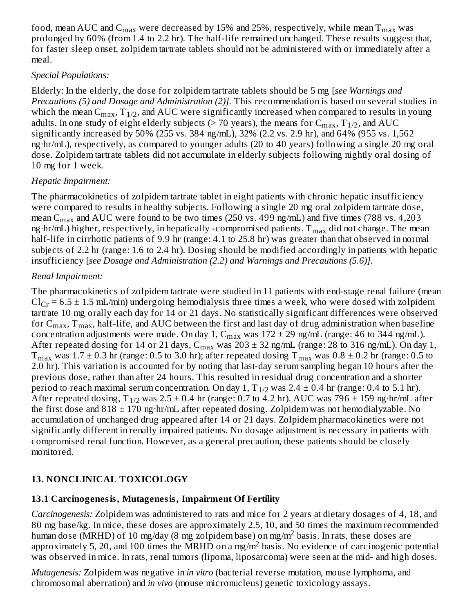food, mean AUC and  $\rm{C_{max}}$  were decreased by 15% and 25%, respectively, while mean  $\rm{T_{max}}$  was prolonged by 60% (from 1.4 to 2.2 hr). The half-life remained unchanged. These results suggest that, for faster sleep onset, zolpidem tartrate tablets should not be administered with or immediately after a meal.

#### *Special Populations:*

Elderly: In the elderly, the dose for zolpidem tartrate tablets should be 5 mg [*see Warnings and Precautions (5) and Dosage and Administration (2)].* This recommendation is based on several studies in which the mean  $\rm C_{max},$   $\rm T_{1/2},$  and  $\rm AUC$  were significantly increased when compared to results in young adults. In one study of eight elderly subjects (> 70 years), the means for  $\rm C_{max}, T_{1/2},$  and  $\rm AUC$ significantly increased by 50% (255 vs. 384 ng/mL), 32% (2.2 vs. 2.9 hr), and 64% (955 vs. 1,562 ng·hr/mL), respectively, as compared to younger adults (20 to 40 years) following a single 20 mg oral dose. Zolpidem tartrate tablets did not accumulate in elderly subjects following nightly oral dosing of 10 mg for 1 week.

#### *Hepatic Impairment:*

The pharmacokinetics of zolpidem tartrate tablet in eight patients with chronic hepatic insufficiency were compared to results in healthy subjects. Following a single 20 mg oral zolpidem tartrate dose, mean C $_{\rm max}$  and AUC were found to be two times (250 vs. 499 ng/mL) and five times (788 vs. 4,203 ng·hr/mL) higher, respectively, in hepatically -compromised patients.  $\rm T_{max}$  did not change. The mean half-life in cirrhotic patients of 9.9 hr (range: 4.1 to 25.8 hr) was greater than that observed in normal subjects of 2.2 hr (range: 1.6 to 2.4 hr). Dosing should be modified accordingly in patients with hepatic insufficiency [*see Dosage and Administration (2.2) and Warnings and Precautions (5.6)].*

#### *Renal Impairment:*

The pharmacokinetics of zolpidem tartrate were studied in 11 patients with end-stage renal failure (mean  $Cl_{Cr}$  = 6.5  $\pm$  1.5 mL/min) undergoing hemodialysis three times a week, who were dosed with zolpidem tartrate 10 mg orally each day for 14 or 21 days. No statistically significant differences were observed for  $\rm C_{max},$   $\rm T_{max},$  half-life, and AUC between the first and last day of drug administration when baseline concentration adjustments were made. On day 1,  $C_{max}$  was  $172 \pm 29$  ng/mL (range: 46 to 344 ng/mL). After repeated dosing for 14 or 21 days,  $\rm{C_{max}}$  was 203  $\pm$  32 ng/mL (range: 28 to 316 ng/mL). On day 1,  $\rm T_{max}$  was  $\rm 1.7\pm0.3$  hr (range:  $\rm 0.5$  to  $\rm 3.0$  hr); after repeated dosing  $\rm T_{max}$  was  $\rm 0.8\pm0.2$  hr (range:  $\rm 0.5$  to 2.0 hr). This variation is accounted for by noting that last-day serum sampling began 10 hours after the previous dose, rather than after 24 hours. This resulted in residual drug concentration and a shorter period to reach maximal serum concentration. On day  $1, T_{1/2}$  was  $2.4 \pm 0.4$  hr (range:  $0.4$  to  $5.1$  hr). After repeated dosing,  $T_{1/2}$  was 2.5  $\pm$  0.4 hr (range: 0.7 to 4.2 hr). AUC was 796  $\pm$  159 ng·hr/mL after the first dose and  $818 \pm 170$  ng·hr/mL after repeated dosing. Zolpidem was not hemodialyzable. No accumulation of unchanged drug appeared after 14 or 21 days. Zolpidem pharmacokinetics were not significantly different in renally impaired patients. No dosage adjustment is necessary in patients with compromised renal function. However, as a general precaution, these patients should be closely monitored.

### **13. NONCLINICAL TOXICOLOGY**

#### **13.1 Carcinogenesis, Mutagenesis, Impairment Of Fertility**

*Carcinogenesis:* Zolpidem was administered to rats and mice for 2 years at dietary dosages of 4, 18, and 80 mg base/kg. In mice, these doses are approximately 2.5, 10, and 50 times the maximum recommended human dose (MRHD) of 10 mg/day (8 mg zolpidem base) on mg/m<sup>2</sup> basis. In rats, these doses are approximately 5, 20, and 100 times the MRHD on a mg/m<sup>2</sup> basis. No evidence of carcinogenic potential was observed in mice. In rats, renal tumors (lipoma, liposarcoma) were seen at the mid- and high doses.

*Mutagenesis:* Zolpidem was negative in *in vitro* (bacterial reverse mutation, mouse lymphoma, and chromosomal aberration) and *in vivo* (mouse micronucleus) genetic toxicology assays.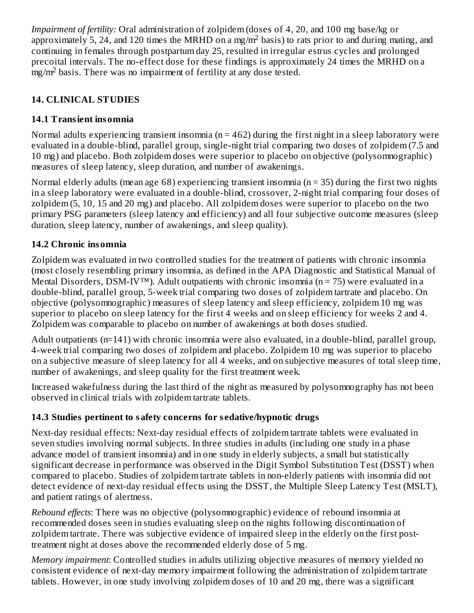*Impairment of fertility:* Oral administration of zolpidem (doses of 4, 20, and 100 mg base/kg or approximately 5, 24, and 120 times the MRHD on a mg/m<sup>2</sup> basis) to rats prior to and during mating, and continuing in females through postpartum day 25, resulted in irregular estrus cycles and prolonged precoital intervals. The no-effect dose for these findings is approximately 24 times the MRHD on a  $\frac{m}{2}$  basis. There was no impairment of fertility at any dose tested.

# **14. CLINICAL STUDIES**

## **14.1 Transient insomnia**

Normal adults experiencing transient insomnia ( $n = 462$ ) during the first night in a sleep laboratory were evaluated in a double-blind, parallel group, single-night trial comparing two doses of zolpidem (7.5 and 10 mg) and placebo. Both zolpidem doses were superior to placebo on objective (polysomnographic) measures of sleep latency, sleep duration, and number of awakenings.

Normal elderly adults (mean age 68) experiencing transient insomnia ( $n = 35$ ) during the first two nights in a sleep laboratory were evaluated in a double-blind, crossover, 2-night trial comparing four doses of zolpidem (5, 10, 15 and 20 mg) and placebo. All zolpidem doses were superior to placebo on the two primary PSG parameters (sleep latency and efficiency) and all four subjective outcome measures (sleep duration, sleep latency, number of awakenings, and sleep quality).

### **14.2 Chronic insomnia**

Zolpidem was evaluated in two controlled studies for the treatment of patients with chronic insomnia (most closely resembling primary insomnia, as defined in the APA Diagnostic and Statistical Manual of Mental Disorders, DSM-IV™). Adult outpatients with chronic insomnia ( $n = 75$ ) were evaluated in a double-blind, parallel group, 5-week trial comparing two doses of zolpidem tartrate and placebo. On objective (polysomnographic) measures of sleep latency and sleep efficiency, zolpidem 10 mg was superior to placebo on sleep latency for the first 4 weeks and on sleep efficiency for weeks 2 and 4. Zolpidem was comparable to placebo on number of awakenings at both doses studied.

Adult outpatients (n=141) with chronic insomnia were also evaluated, in a double-blind, parallel group, 4-week trial comparing two doses of zolpidem and placebo. Zolpidem 10 mg was superior to placebo on a subjective measure of sleep latency for all 4 weeks, and on subjective measures of total sleep time, number of awakenings, and sleep quality for the first treatment week.

Increased wakefulness during the last third of the night as measured by polysomnography has not been observed in clinical trials with zolpidem tartrate tablets.

## **14.3 Studies pertinent to safety concerns for s edative/hypnotic drugs**

Next-day residual effects: Next-day residual effects of zolpidem tartrate tablets were evaluated in seven studies involving normal subjects. In three studies in adults (including one study in a phase advance model of transient insomnia) and in one study in elderly subjects, a small but statistically significant decrease in performance was observed in the Digit Symbol Substitution Test (DSST) when compared to placebo. Studies of zolpidem tartrate tablets in non-elderly patients with insomnia did not detect evidence of next-day residual effects using the DSST, the Multiple Sleep Latency Test (MSLT), and patient ratings of alertness.

*Rebound effects*: There was no objective (polysomnographic) evidence of rebound insomnia at recommended doses seen in studies evaluating sleep on the nights following discontinuation of zolpidem tartrate. There was subjective evidence of impaired sleep in the elderly on the first posttreatment night at doses above the recommended elderly dose of 5 mg.

*Memory impairment*: Controlled studies in adults utilizing objective measures of memory yielded no consistent evidence of next-day memory impairment following the administration of zolpidem tartrate tablets. However, in one study involving zolpidem doses of 10 and 20 mg, there was a significant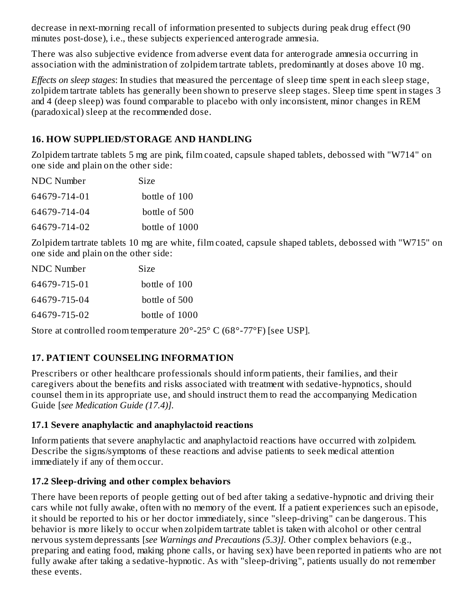decrease in next-morning recall of information presented to subjects during peak drug effect (90 minutes post-dose), i.e., these subjects experienced anterograde amnesia.

There was also subjective evidence from adverse event data for anterograde amnesia occurring in association with the administration of zolpidem tartrate tablets, predominantly at doses above 10 mg.

*Effects on sleep stages*: In studies that measured the percentage of sleep time spent in each sleep stage, zolpidem tartrate tablets has generally been shown to preserve sleep stages. Sleep time spent in stages 3 and 4 (deep sleep) was found comparable to placebo with only inconsistent, minor changes in REM (paradoxical) sleep at the recommended dose.

### **16. HOW SUPPLIED/STORAGE AND HANDLING**

Zolpidem tartrate tablets 5 mg are pink, film coated, capsule shaped tablets, debossed with "W714" on one side and plain on the other side:

| NDC Number   | Size           |
|--------------|----------------|
| 64679-714-01 | bottle of 100  |
| 64679-714-04 | bottle of 500  |
| 64679-714-02 | bottle of 1000 |

Zolpidem tartrate tablets 10 mg are white, film coated, capsule shaped tablets, debossed with "W715" on one side and plain on the other side:

| NDC Number   | <b>Size</b>    |
|--------------|----------------|
| 64679-715-01 | bottle of 100  |
| 64679-715-04 | bottle of 500  |
| 64679-715-02 | bottle of 1000 |

Store at controlled room temperature 20°-25° C (68°-77°F) [see USP].

## **17. PATIENT COUNSELING INFORMATION**

Prescribers or other healthcare professionals should inform patients, their families, and their caregivers about the benefits and risks associated with treatment with sedative-hypnotics, should counsel them in its appropriate use, and should instruct them to read the accompanying Medication Guide [*see Medication Guide (17.4)].*

#### **17.1 Severe anaphylactic and anaphylactoid reactions**

Inform patients that severe anaphylactic and anaphylactoid reactions have occurred with zolpidem. Describe the signs/symptoms of these reactions and advise patients to seek medical attention immediately if any of them occur.

### **17.2 Sleep-driving and other complex behaviors**

There have been reports of people getting out of bed after taking a sedative-hypnotic and driving their cars while not fully awake, often with no memory of the event. If a patient experiences such an episode, it should be reported to his or her doctor immediately, since "sleep-driving" can be dangerous. This behavior is more likely to occur when zolpidem tartrate tablet is taken with alcohol or other central nervous system depressants [*see Warnings and Precautions (5.3)].* Other complex behaviors (e.g., preparing and eating food, making phone calls, or having sex) have been reported in patients who are not fully awake after taking a sedative-hypnotic. As with "sleep-driving", patients usually do not remember these events.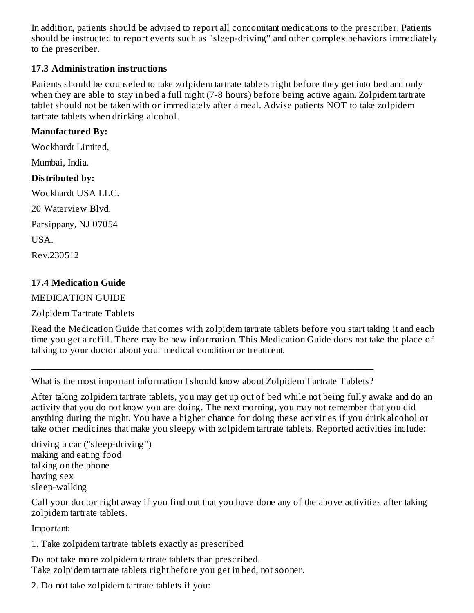In addition, patients should be advised to report all concomitant medications to the prescriber. Patients should be instructed to report events such as "sleep-driving" and other complex behaviors immediately to the prescriber.

#### **17.3 Administration instructions**

Patients should be counseled to take zolpidem tartrate tablets right before they get into bed and only when they are able to stay in bed a full night (7-8 hours) before being active again. Zolpidem tartrate tablet should not be taken with or immediately after a meal. Advise patients NOT to take zolpidem tartrate tablets when drinking alcohol.

#### **Manufactured By:**

Wockhardt Limited,

Mumbai, India.

#### **Distributed by:**

Wockhardt USA LLC.

20 Waterview Blvd.

Parsippany, NJ 07054

USA.

Rev.230512

### **17.4 Medication Guide**

#### MEDICATION GUIDE

Zolpidem Tartrate Tablets

Read the Medication Guide that comes with zolpidem tartrate tablets before you start taking it and each time you get a refill. There may be new information. This Medication Guide does not take the place of talking to your doctor about your medical condition or treatment.

\_\_\_\_\_\_\_\_\_\_\_\_\_\_\_\_\_\_\_\_\_\_\_\_\_\_\_\_\_\_\_\_\_\_\_\_\_\_\_\_\_\_\_\_\_\_\_\_\_\_\_\_\_\_\_\_\_\_\_\_\_\_\_\_\_\_\_\_\_\_\_\_ What is the most important information I should know about Zolpidem Tartrate Tablets?

After taking zolpidem tartrate tablets, you may get up out of bed while not being fully awake and do an activity that you do not know you are doing. The next morning, you may not remember that you did anything during the night. You have a higher chance for doing these activities if you drink alcohol or take other medicines that make you sleepy with zolpidem tartrate tablets. Reported activities include:

```
driving a car ("sleep-driving")
making and eating food
talking on the phone
having sex
sleep-walking
```
Call your doctor right away if you find out that you have done any of the above activities after taking zolpidem tartrate tablets.

Important:

1. Take zolpidem tartrate tablets exactly as prescribed

Do not take more zolpidem tartrate tablets than prescribed. Take zolpidem tartrate tablets right before you get in bed, not sooner.

2. Do not take zolpidem tartrate tablets if you: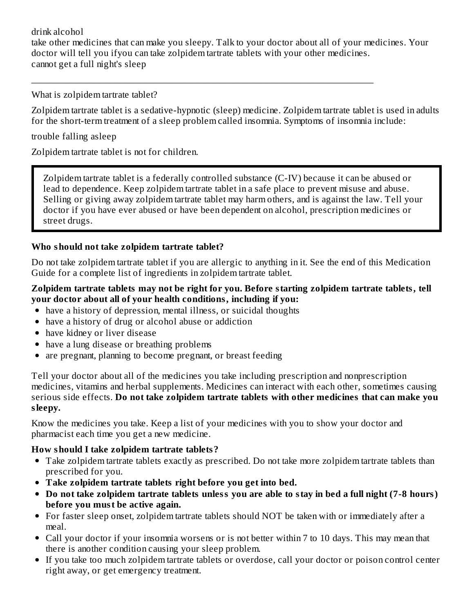drink alcohol take other medicines that can make you sleepy. Talk to your doctor about all of your medicines. Your doctor will tell you ifyou can take zolpidem tartrate tablets with your other medicines. cannot get a full night's sleep

\_\_\_\_\_\_\_\_\_\_\_\_\_\_\_\_\_\_\_\_\_\_\_\_\_\_\_\_\_\_\_\_\_\_\_\_\_\_\_\_\_\_\_\_\_\_\_\_\_\_\_\_\_\_\_\_\_\_\_\_\_\_\_\_\_\_\_\_\_\_\_\_

What is zolpidem tartrate tablet?

Zolpidem tartrate tablet is a sedative-hypnotic (sleep) medicine. Zolpidem tartrate tablet is used in adults for the short-term treatment of a sleep problem called insomnia. Symptoms of insomnia include:

trouble falling asleep

Zolpidem tartrate tablet is not for children.

Zolpidem tartrate tablet is a federally controlled substance (C-IV) because it can be abused or lead to dependence. Keep zolpidem tartrate tablet in a safe place to prevent misuse and abuse. Selling or giving away zolpidem tartrate tablet may harm others, and is against the law. Tell your doctor if you have ever abused or have been dependent on alcohol, prescription medicines or street drugs.

#### **Who should not take zolpidem tartrate tablet?**

Do not take zolpidem tartrate tablet if you are allergic to anything in it. See the end of this Medication Guide for a complete list of ingredients in zolpidem tartrate tablet.

#### **Zolpidem tartrate tablets may not be right for you. Before starting zolpidem tartrate tablets, tell your doctor about all of your health conditions, including if you:**

- have a history of depression, mental illness, or suicidal thoughts
- have a history of drug or alcohol abuse or addiction
- have kidney or liver disease
- have a lung disease or breathing problems
- are pregnant, planning to become pregnant, or breast feeding  $\bullet$

Tell your doctor about all of the medicines you take including prescription and nonprescription medicines, vitamins and herbal supplements. Medicines can interact with each other, sometimes causing serious side effects. **Do not take zolpidem tartrate tablets with other medicines that can make you sleepy.**

Know the medicines you take. Keep a list of your medicines with you to show your doctor and pharmacist each time you get a new medicine.

#### **How should I take zolpidem tartrate tablets?**

- Take zolpidem tartrate tablets exactly as prescribed. Do not take more zolpidem tartrate tablets than prescribed for you.
- **Take zolpidem tartrate tablets right before you get into bed.**
- Do not take zolpidem tartrate tablets unless you are able to stay in bed a full night (7-8 hours) **before you must be active again.**
- For faster sleep onset, zolpidem tartrate tablets should NOT be taken with or immediately after a meal.
- Call your doctor if your insomnia worsens or is not better within 7 to 10 days. This may mean that there is another condition causing your sleep problem.
- If you take too much zolpidem tartrate tablets or overdose, call your doctor or poison control center right away, or get emergency treatment.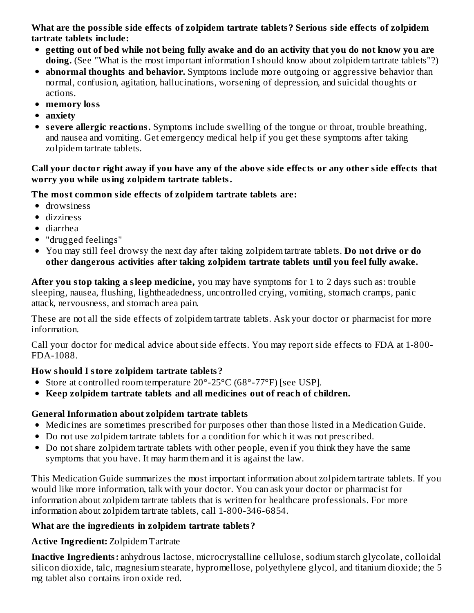**What are the possible side effects of zolpidem tartrate tablets? Serious side effects of zolpidem tartrate tablets include:**

- getting out of bed while not being fully awake and do an activity that you do not know you are **doing.** (See "What is the most important information I should know about zolpidem tartrate tablets"?)
- **abnormal thoughts and behavior.** Symptoms include more outgoing or aggressive behavior than normal, confusion, agitation, hallucinations, worsening of depression, and suicidal thoughts or actions.
- **memory loss**
- **anxiety**
- **s evere allergic reactions.** Symptoms include swelling of the tongue or throat, trouble breathing, and nausea and vomiting. Get emergency medical help if you get these symptoms after taking zolpidem tartrate tablets.

#### Call your doctor right away if you have any of the above side effects or any other side effects that **worry you while using zolpidem tartrate tablets.**

## **The most common side effects of zolpidem tartrate tablets are:**

- drowsiness
- dizziness
- diarrhea
- "drugged feelings"
- You may still feel drowsy the next day after taking zolpidem tartrate tablets. **Do not drive or do other dangerous activities after taking zolpidem tartrate tablets until you feel fully awake.**

**After you stop taking a sleep medicine,** you may have symptoms for 1 to 2 days such as: trouble sleeping, nausea, flushing, lightheadedness, uncontrolled crying, vomiting, stomach cramps, panic attack, nervousness, and stomach area pain.

These are not all the side effects of zolpidem tartrate tablets. Ask your doctor or pharmacist for more information.

Call your doctor for medical advice about side effects. You may report side effects to FDA at 1-800- FDA-1088.

### **How should I store zolpidem tartrate tablets?**

- Store at controlled room temperature 20°-25°C (68°-77°F) [see USP].
- **Keep zolpidem tartrate tablets and all medicines out of reach of children.**

## **General Information about zolpidem tartrate tablets**

- Medicines are sometimes prescribed for purposes other than those listed in a Medication Guide.
- Do not use zolpidem tartrate tablets for a condition for which it was not prescribed.
- Do not share zolpidem tartrate tablets with other people, even if you think they have the same symptoms that you have. It may harm them and it is against the law.

This Medication Guide summarizes the most important information about zolpidem tartrate tablets. If you would like more information, talk with your doctor. You can ask your doctor or pharmacist for information about zolpidem tartrate tablets that is written for healthcare professionals. For more information about zolpidem tartrate tablets, call 1-800-346-6854.

## **What are the ingredients in zolpidem tartrate tablets?**

**Active Ingredient:** Zolpidem Tartrate

**Inactive Ingredients:** anhydrous lactose, microcrystalline cellulose, sodium starch glycolate, colloidal silicon dioxide, talc, magnesium stearate, hypromellose, polyethylene glycol, and titanium dioxide; the 5 mg tablet also contains iron oxide red.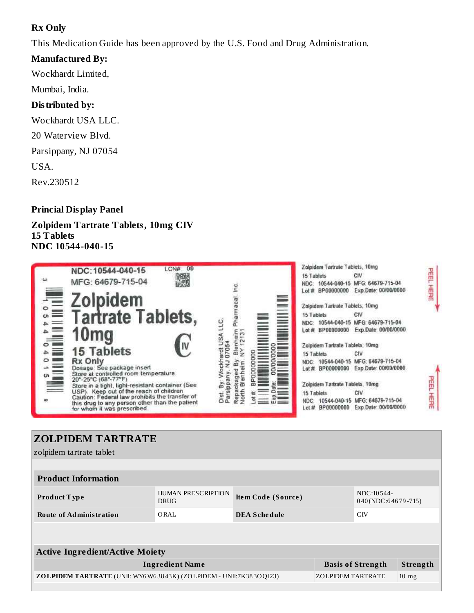### **Rx Only**

This Medication Guide has been approved by the U.S. Food and Drug Administration.

#### **Manufactured By:**

Wockhardt Limited,

Mumbai, India.

#### **Distributed by:**

Wockhardt USA LLC.

20 Waterview Blvd.

Parsippany, NJ 07054

USA.

Rev.230512

#### **Princial Display Panel**

#### **Zolpidem Tartrate Tablets, 10mg CIV 15 Tablets NDC 10544-040-15**



# **ZOLPIDEM TARTRATE**

zolpidem tartrate tablet

| <b>Product Information</b>                                                                                              |                                   |                     |  |                                  |          |
|-------------------------------------------------------------------------------------------------------------------------|-----------------------------------|---------------------|--|----------------------------------|----------|
| <b>Product Type</b>                                                                                                     | HUMAN PRESCRIPTION<br><b>DRUG</b> | Item Code (Source)  |  | NDC:10544-<br>040(NDC:64679-715) |          |
| <b>Route of Administration</b>                                                                                          | ORAL                              | <b>DEA Schedule</b> |  | CIV                              |          |
|                                                                                                                         |                                   |                     |  |                                  |          |
|                                                                                                                         |                                   |                     |  |                                  |          |
| <b>Active Ingredient/Active Moiety</b>                                                                                  |                                   |                     |  |                                  |          |
| <b>Ingredient Name</b>                                                                                                  |                                   |                     |  | <b>Basis of Strength</b>         | Strength |
| <b>ZOLPIDEM TARTRATE</b> (UNII: WY6W63843K) (ZOLPIDEM - UNII:7K383OQI23)<br><b>ZOLPIDEM TARTRATE</b><br>$10 \text{ mg}$ |                                   |                     |  |                                  |          |
|                                                                                                                         |                                   |                     |  |                                  |          |